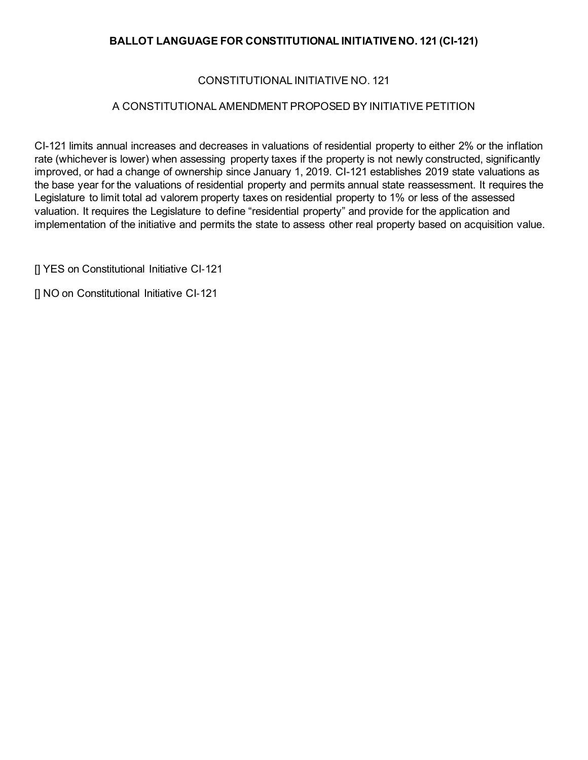## **BALLOT LANGUAGE FOR CONSTITUTIONAL INITIATIVE NO. 121 (CI-121)**

## CONSTITUTIONAL INITIATIVE NO. 121

## A CONSTITUTIONAL AMENDMENT PROPOSED BY INITIATIVE PETITION

CI-121 limits annual increases and decreases in valuations of residential property to either 2% or the inflation rate (whichever is lower) when assessing property taxes if the property is not newly constructed, significantly improved, or had a change of ownership since January 1, 2019. CI-121 establishes 2019 state valuations as the base year for the valuations of residential property and permits annual state reassessment. It requires the Legislature to limit total ad valorem property taxes on residential property to 1% or less of the assessed valuation. It requires the Legislature to define "residential property" and provide for the application and implementation of the initiative and permits the state to assess other real property based on acquisition value.

[] YES on Constitutional Initiative CI-121

[] NO on Constitutional Initiative CI‐121